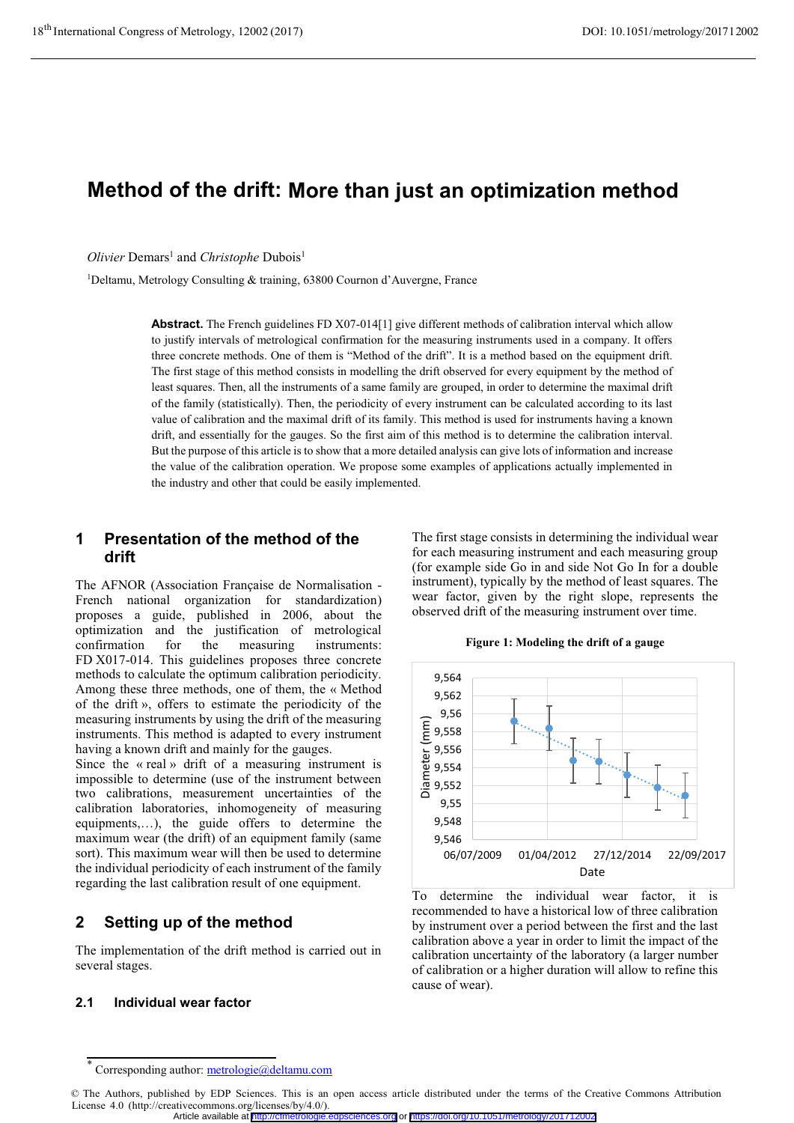# **Method of the drift: More than just an optimization method**

*Olivier* Demars<sup>1</sup> and *Christophe* Dubois<sup>1</sup>

1Deltamu, Metrology Consulting & training, 63800 Cournon d'Auvergne, France

**Abstract.** The French guidelines FD X07-014[1] give different methods of calibration interval which allow to justify intervals of metrological confirmation for the measuring instruments used in a company. It offers three concrete methods. One of them is "Method of the drift". It is a method based on the equipment drift. The first stage of this method consists in modelling the drift observed for every equipment by the method of least squares. Then, all the instruments of a same family are grouped, in order to determine the maximal drift of the family (statistically). Then, the periodicity of every instrument can be calculated according to its last value of calibration and the maximal drift of its family. This method is used for instruments having a known drift, and essentially for the gauges. So the first aim of this method is to determine the calibration interval. But the purpose of this article is to show that a more detailed analysis can give lots of information and increase the value of the calibration operation. We propose some examples of applications actually implemented in the industry and other that could be easily implemented.

## **1 Presentation of the method of the drift**

The AFNOR (Association Française de Normalisation - French national organization for standardization) proposes a guide, published in 2006, about the optimization and the justification of metrological confirmation for the measuring instruments: FD X017-014. This guidelines proposes three concrete methods to calculate the optimum calibration periodicity. Among these three methods, one of them, the « Method of the drift », offers to estimate the periodicity of the measuring instruments by using the drift of the measuring instruments. This method is adapted to every instrument having a known drift and mainly for the gauges.

Since the « real » drift of a measuring instrument is impossible to determine (use of the instrument between two calibrations, measurement uncertainties of the calibration laboratories, inhomogeneity of measuring equipments,…), the guide offers to determine the maximum wear (the drift) of an equipment family (same sort). This maximum wear will then be used to determine the individual periodicity of each instrument of the family regarding the last calibration result of one equipment.

## **2 Setting up of the method**

The implementation of the drift method is carried out in several stages.

#### **2.1 Individual wear factor**

The first stage consists in determining the individual wear for each measuring instrument and each measuring group (for example side Go in and side Not Go In for a double instrument), typically by the method of least squares. The wear factor, given by the right slope, represents the observed drift of the measuring instrument over time.



**Figure 1: Modeling the drift of a gauge**

To determine the individual wear factor, it is recommended to have a historical low of three calibration by instrument over a period between the first and the last calibration above a year in order to limit the impact of the calibration uncertainty of the laboratory (a larger number of calibration or a higher duration will allow to refine this cause of wear).

<sup>\*</sup> Corresponding author: metrologie@deltamu.com

<sup>©</sup> The Authors, published by EDP Sciences. This is an open access article distributed under the terms of the Creative Commons Attribution License 4.0 (http://creativecommons.org/licenses/by/4.0/).

Article available at <http://cfmetrologie.edpsciences.org> or <https://doi.org/10.1051/metrology/201712002>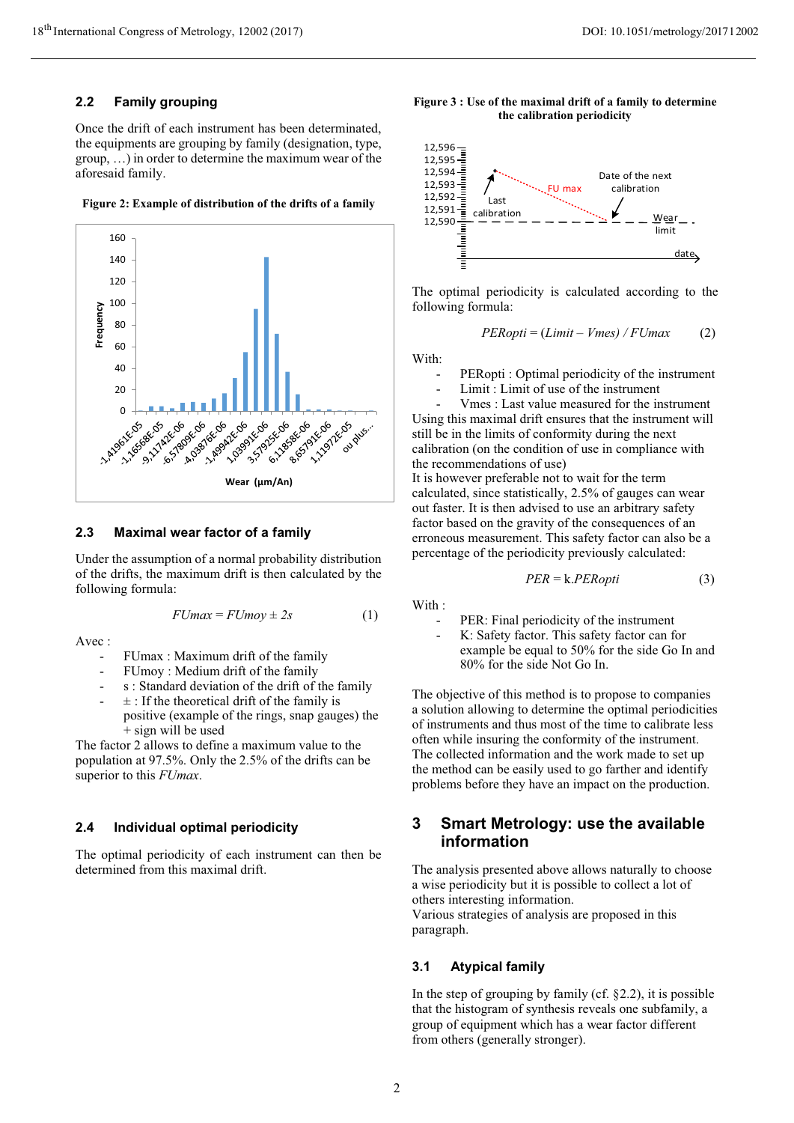### **2.2 Family grouping**

Once the drift of each instrument has been determinated, the equipments are grouping by family (designation, type, group, …) in order to determine the maximum wear of the aforesaid family.

**Figure 2: Example of distribution of the drifts of a family**



#### **2.3 Maximal wear factor of a family**

Under the assumption of a normal probability distribution of the drifts, the maximum drift is then calculated by the following formula:

$$
FUmax = FUmov \pm 2s \tag{1}
$$

Avec :

- FUmax : Maximum drift of the family
- FUmoy: Medium drift of the family
- s : Standard deviation of the drift of the family
- $\pm$ : If the theoretical drift of the family is positive (example of the rings, snap gauges) the + sign will be used

The factor 2 allows to define a maximum value to the population at 97.5%. Only the 2.5% of the drifts can be superior to this *FUmax*.

#### **2.4 Individual optimal periodicity**

The optimal periodicity of each instrument can then be determined from this maximal drift.





The optimal periodicity is calculated according to the following formula:

$$
PERopti = (Limit - Vmes) / FUmax \qquad (2)
$$

With:

- PERopti : Optimal periodicity of the instrument
- Limit : Limit of use of the instrument

- Vmes : Last value measured for the instrument Using this maximal drift ensures that the instrument will still be in the limits of conformity during the next calibration (on the condition of use in compliance with the recommendations of use)

It is however preferable not to wait for the term calculated, since statistically, 2.5% of gauges can wear out faster. It is then advised to use an arbitrary safety factor based on the gravity of the consequences of an erroneous measurement. This safety factor can also be a percentage of the periodicity previously calculated:

$$
PER = k.PERopti \tag{3}
$$

With :

PER: Final periodicity of the instrument

K: Safety factor. This safety factor can for example be equal to 50% for the side Go In and 80% for the side Not Go In.

The objective of this method is to propose to companies a solution allowing to determine the optimal periodicities of instruments and thus most of the time to calibrate less often while insuring the conformity of the instrument. The collected information and the work made to set up the method can be easily used to go farther and identify problems before they have an impact on the production.

## **3 Smart Metrology: use the available information**

The analysis presented above allows naturally to choose a wise periodicity but it is possible to collect a lot of others interesting information.

Various strategies of analysis are proposed in this paragraph.

### **3.1 Atypical family**

In the step of grouping by family (cf.  $\S 2.2$ ), it is possible that the histogram of synthesis reveals one subfamily, a group of equipment which has a wear factor different from others (generally stronger).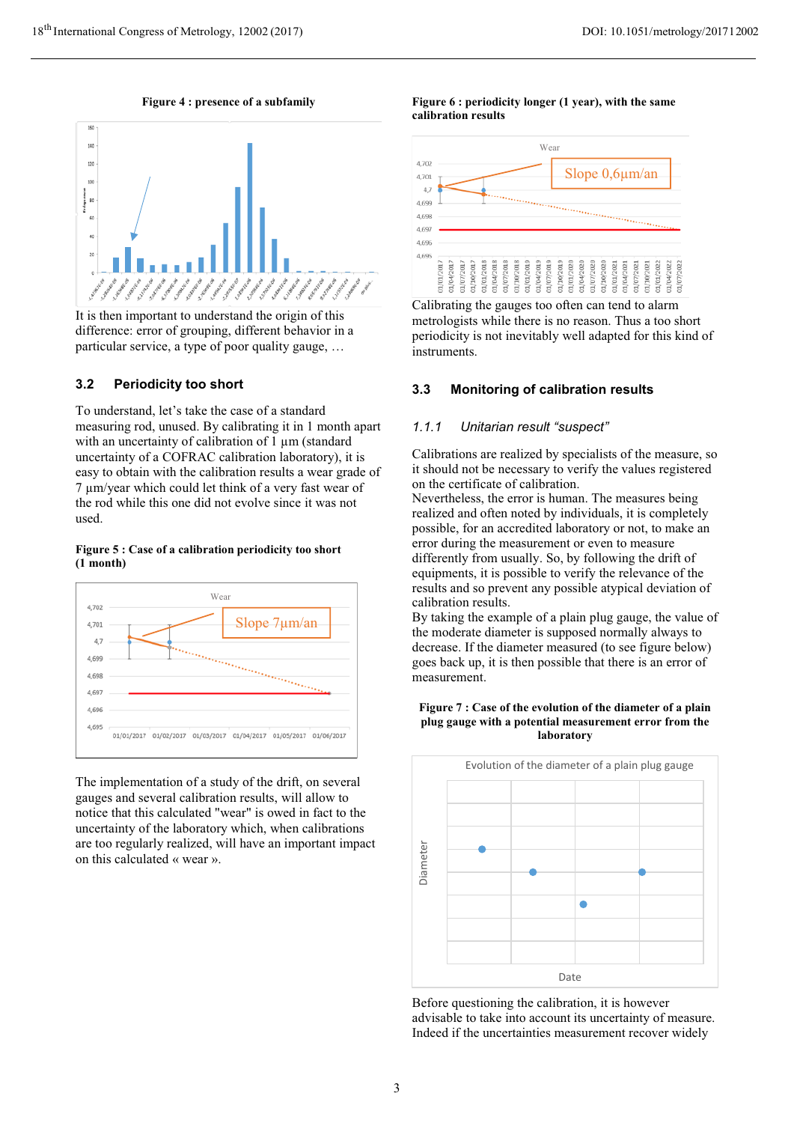**Figure 4 : presence of a subfamily**



It is then important to understand the origin of this difference: error of grouping, different behavior in a particular service, a type of poor quality gauge, …

### **3.2 Periodicity too short**

To understand, let's take the case of a standard measuring rod, unused. By calibrating it in 1 month apart with an uncertainty of calibration of 1  $\mu$ m (standard uncertainty of a COFRAC calibration laboratory), it is easy to obtain with the calibration results a wear grade of 7 µm/year which could let think of a very fast wear of the rod while this one did not evolve since it was not used.

#### **Figure 5 : Case of a calibration periodicity too short (1 month)**



The implementation of a study of the drift, on several gauges and several calibration results, will allow to notice that this calculated "wear" is owed in fact to the uncertainty of the laboratory which, when calibrations are too regularly realized, will have an important impact on this calculated « wear ».

**Figure 6 : periodicity longer (1 year), with the same calibration results** 



Calibrating the gauges too often can tend to alarm metrologists while there is no reason. Thus a too short periodicity is not inevitably well adapted for this kind of instruments.

## **3.3 Monitoring of calibration results**

#### $1.1.1$ *1.1.1 Unitarian result "suspect"*

Calibrations are realized by specialists of the measure, so it should not be necessary to verify the values registered on the certificate of calibration.

Nevertheless, the error is human. The measures being realized and often noted by individuals, it is completely possible, for an accredited laboratory or not, to make an error during the measurement or even to measure differently from usually. So, by following the drift of equipments, it is possible to verify the relevance of the results and so prevent any possible atypical deviation of calibration results.

By taking the example of a plain plug gauge, the value of the moderate diameter is supposed normally always to decrease. If the diameter measured (to see figure below) goes back up, it is then possible that there is an error of measurement.





Before questioning the calibration, it is however advisable to take into account its uncertainty of measure.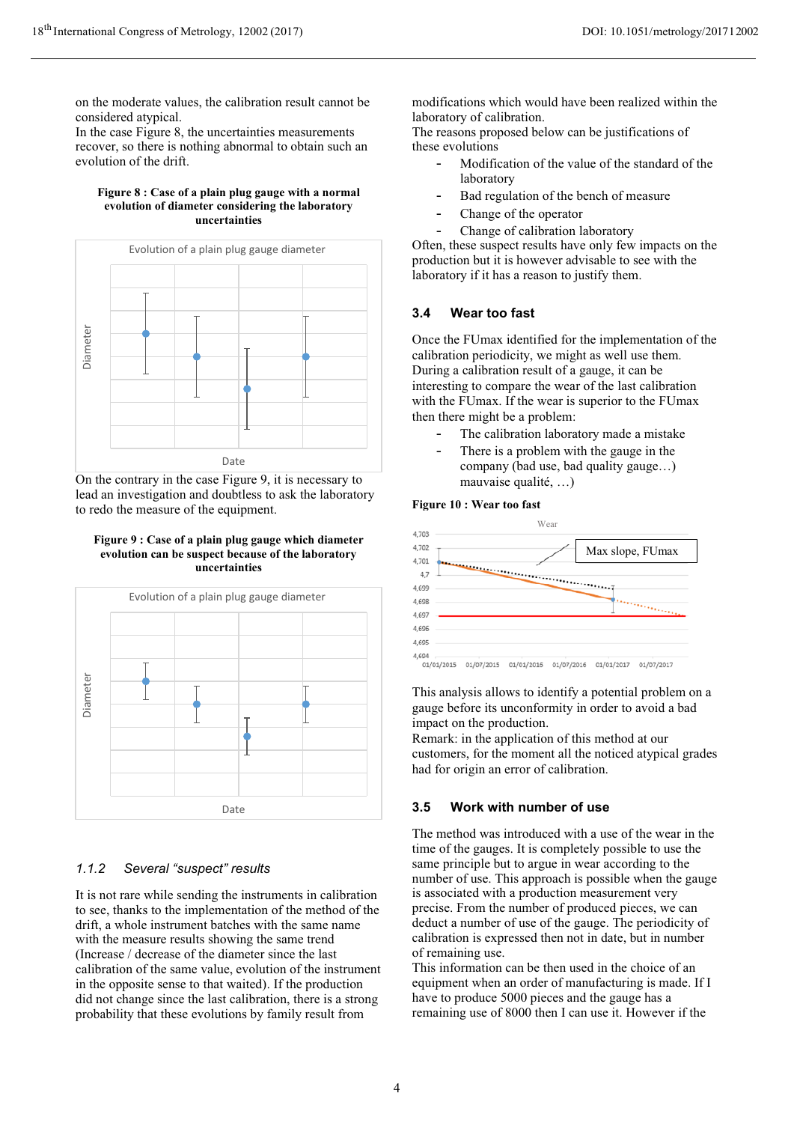on the moderate values, the calibration result cannot be considered atypical.

In the case Figure 8, the uncertainties measurements recover, so there is nothing abnormal to obtain such an evolution of the drift.

#### **Figure 8 : Case of a plain plug gauge with a normal evolution of diameter considering the laboratory uncertainties**



On the contrary in the case Figure 9, it is necessary to lead an investigation and doubtless to ask the laboratory to redo the measure of the equipment.

#### **Figure 9 : Case of a plain plug gauge which diameter evolution can be suspect because of the laboratory uncertainties**



## *1.1.2 Several "suspect" results*

It is not rare while sending the instruments in calibration to see, thanks to the implementation of the method of the drift, a whole instrument batches with the same name with the measure results showing the same trend (Increase / decrease of the diameter since the last calibration of the same value, evolution of the instrument in the opposite sense to that waited). If the production did not change since the last calibration, there is a strong probability that these evolutions by family result from

modifications which would have been realized within the laboratory of calibration.

The reasons proposed below can be justifications of these evolutions

- Modification of the value of the standard of the laboratory
- Bad regulation of the bench of measure
- Change of the operator
- Change of calibration laboratory

Often, these suspect results have only few impacts on the production but it is however advisable to see with the laboratory if it has a reason to justify them.

## **3.4 Wear too fast**

Once the FUmax identified for the implementation of the calibration periodicity, we might as well use them. During a calibration result of a gauge, it can be interesting to compare the wear of the last calibration with the FUmax. If the wear is superior to the FUmax then there might be a problem:

- The calibration laboratory made a mistake
- There is a problem with the gauge in the company (bad use, bad quality gauge…) mauvaise qualité, …)

#### **Figure 10 : Wear too fast**



This analysis allows to identify a potential problem on a gauge before its unconformity in order to avoid a bad impact on the production.

Remark: in the application of this method at our customers, for the moment all the noticed atypical grades had for origin an error of calibration.

## **3.5 Work with number of use**

The method was introduced with a use of the wear in the time of the gauges. It is completely possible to use the same principle but to argue in wear according to the number of use. This approach is possible when the gauge is associated with a production measurement very precise. From the number of produced pieces, we can deduct a number of use of the gauge. The periodicity of calibration is expressed then not in date, but in number of remaining use.

This information can be then used in the choice of an equipment when an order of manufacturing is made. If I have to produce 5000 pieces and the gauge has a remaining use of 8000 then I can use it. However if the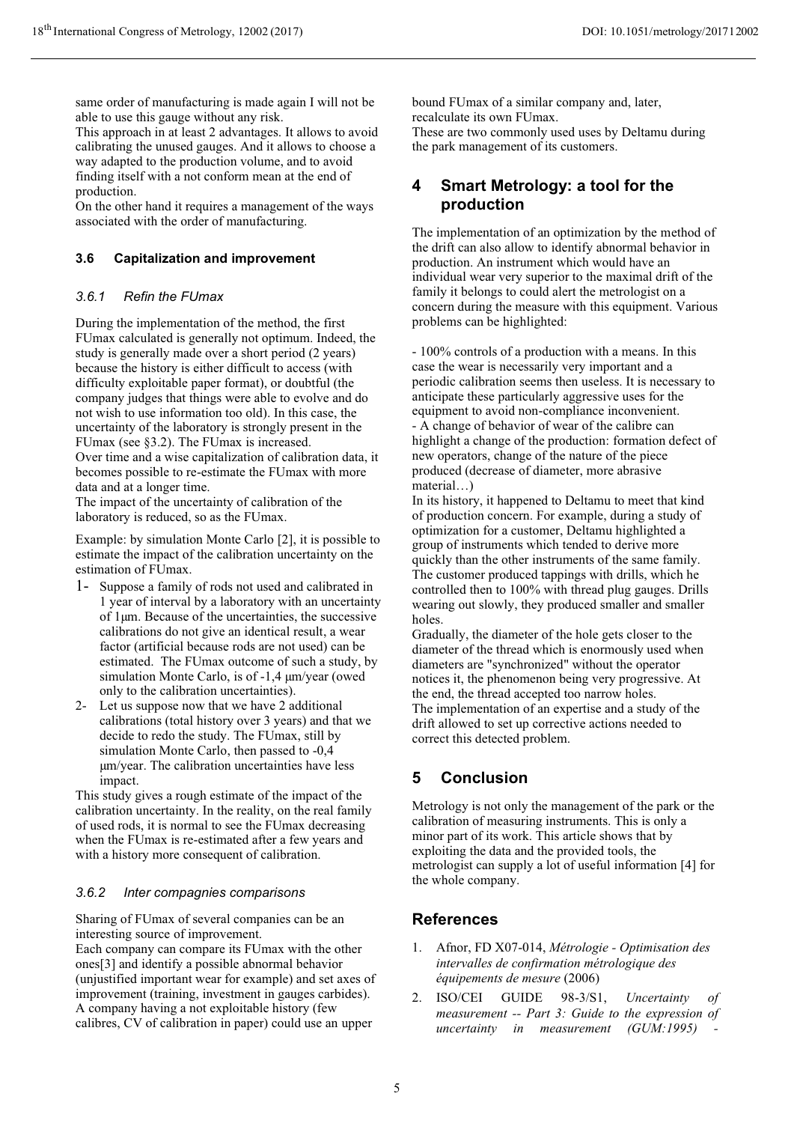same order of manufacturing is made again I will not be able to use this gauge without any risk.

This approach in at least 2 advantages. It allows to avoid calibrating the unused gauges. And it allows to choose a way adapted to the production volume, and to avoid finding itself with a not conform mean at the end of production.

On the other hand it requires a management of the ways associated with the order of manufacturing.

## **3.6 Capitalization and improvement**

#### $3.6.1$ **Refin the FUmax**

During the implementation of the method, the first FUmax calculated is generally not optimum. Indeed, the study is generally made over a short period (2 years) because the history is either difficult to access (with difficulty exploitable paper format), or doubtful (the company judges that things were able to evolve and do not wish to use information too old). In this case, the uncertainty of the laboratory is strongly present in the FUmax (see §3.2). The FUmax is increased. Over time and a wise capitalization of calibration data, it becomes possible to re-estimate the FUmax with more

data and at a longer time. The impact of the uncertainty of calibration of the laboratory is reduced, so as the FUmax.

Example: by simulation Monte Carlo [2], it is possible to estimate the impact of the calibration uncertainty on the estimation of FUmax.

- 1- Suppose a family of rods not used and calibrated in 1 year of interval by a laboratory with an uncertainty of 1μm. Because of the uncertainties, the successive calibrations do not give an identical result, a wear factor (artificial because rods are not used) can be estimated. The FUmax outcome of such a study, by simulation Monte Carlo, is of -1,4 μm/year (owed only to the calibration uncertainties).
- 2- Let us suppose now that we have 2 additional calibrations (total history over 3 years) and that we decide to redo the study. The FUmax, still by simulation Monte Carlo, then passed to -0,4 μm/year. The calibration uncertainties have less impact.

This study gives a rough estimate of the impact of the calibration uncertainty. In the reality, on the real family of used rods, it is normal to see the FUmax decreasing when the FUmax is re-estimated after a few years and with a history more consequent of calibration.

#### $3.6.2$ *3.6.2 Inter compagnies comparisons*

Sharing of FUmax of several companies can be an interesting source of improvement.

Each company can compare its FUmax with the other ones[3] and identify a possible abnormal behavior (unjustified important wear for example) and set axes of improvement (training, investment in gauges carbides). A company having a not exploitable history (few calibres, CV of calibration in paper) could use an upper

bound FUmax of a similar company and, later, recalculate its own FUmax. These are two commonly used uses by Deltamu during the park management of its customers.

## **4 Smart Metrology: a tool for the production**

The implementation of an optimization by the method of the drift can also allow to identify abnormal behavior in production. An instrument which would have an individual wear very superior to the maximal drift of the family it belongs to could alert the metrologist on a concern during the measure with this equipment. Various problems can be highlighted:

- 100% controls of a production with a means. In this case the wear is necessarily very important and a periodic calibration seems then useless. It is necessary to anticipate these particularly aggressive uses for the equipment to avoid non-compliance inconvenient. - A change of behavior of wear of the calibre can highlight a change of the production: formation defect of new operators, change of the nature of the piece produced (decrease of diameter, more abrasive material…)

In its history, it happened to Deltamu to meet that kind of production concern. For example, during a study of optimization for a customer, Deltamu highlighted a group of instruments which tended to derive more quickly than the other instruments of the same family. The customer produced tappings with drills, which he controlled then to 100% with thread plug gauges. Drills wearing out slowly, they produced smaller and smaller holes.

Gradually, the diameter of the hole gets closer to the diameter of the thread which is enormously used when diameters are "synchronized" without the operator notices it, the phenomenon being very progressive. At the end, the thread accepted too narrow holes. The implementation of an expertise and a study of the drift allowed to set up corrective actions needed to correct this detected problem.

# **5 Conclusion**

Metrology is not only the management of the park or the calibration of measuring instruments. This is only a minor part of its work. This article shows that by exploiting the data and the provided tools, the metrologist can supply a lot of useful information [4] for the whole company.

## **References**

- 1. Afnor, FD X07-014, *Métrologie Optimisation des intervalles de confirmation métrologique des équipements de mesure* (2006)
- 2. ISO/CEI GUIDE 98-3/S1, *Uncertainty of measurement -- Part 3: Guide to the expression of uncertainty in measurement (GUM:1995)*